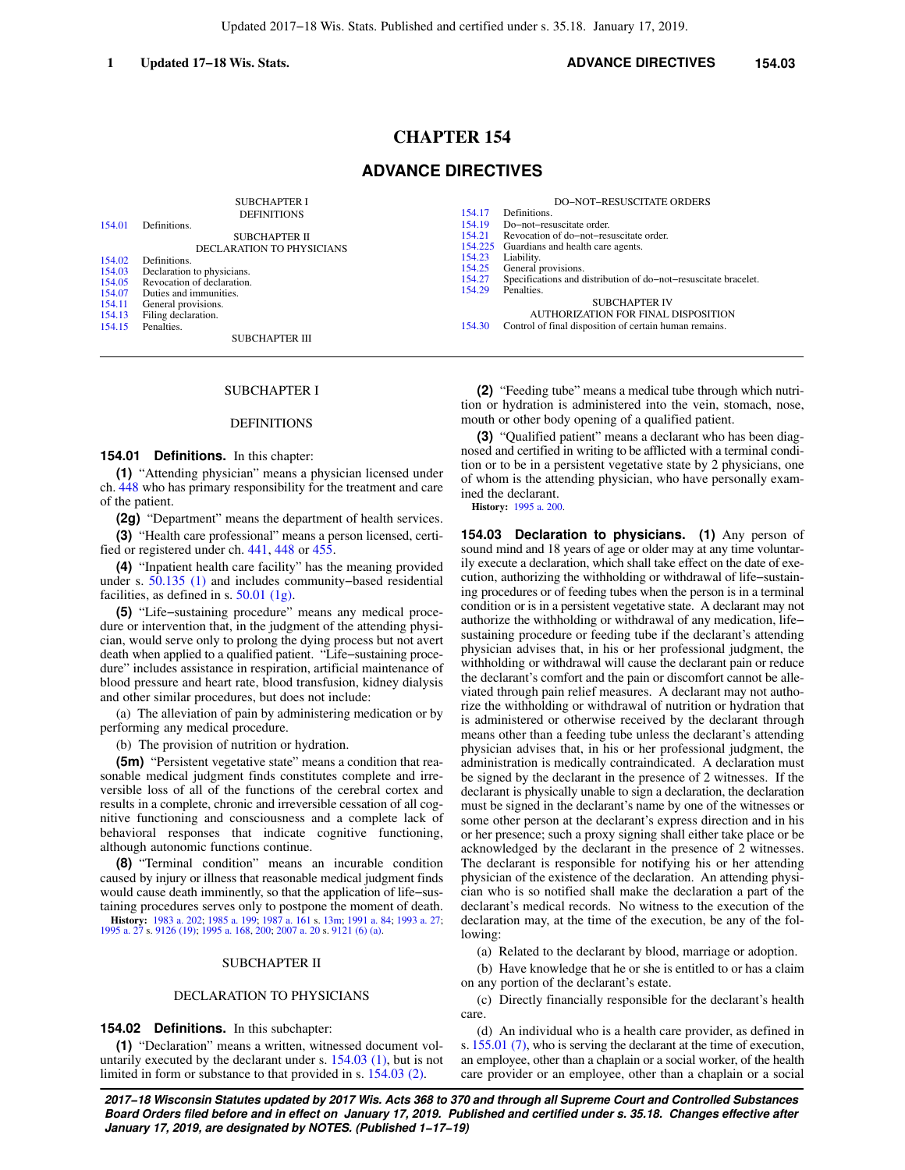[154.01](https://docs.legis.wisconsin.gov/document/statutes/154.01) Definitions.

[154.02](https://docs.legis.wisconsin.gov/document/statutes/154.02) Definitions.<br>154.03 Declaration

[154.03](https://docs.legis.wisconsin.gov/document/statutes/154.03) Declaration to physicians.<br>154.05 Revocation of declaration [154.05](https://docs.legis.wisconsin.gov/document/statutes/154.05) Revocation of declaration.<br>154.07 Duties and immunities. [154.07](https://docs.legis.wisconsin.gov/document/statutes/154.07) Duties and immunities.<br>154.11 General provisions. [154.11](https://docs.legis.wisconsin.gov/document/statutes/154.11) General provisions<br>154.13 Filing declaration. [154.13](https://docs.legis.wisconsin.gov/document/statutes/154.13) Filing declaration.<br>154.15 Penalties. Penalties.

# **CHAPTER 154**

# **ADVANCE DIRECTIVES**

| <b>SUBCHAPTER I</b>   |        | <b>DO-NOT-RESUSCITATE ORDERS</b>                                |
|-----------------------|--------|-----------------------------------------------------------------|
| <b>DEFINITIONS</b>    | 154.17 | Definitions.                                                    |
|                       | 154.19 | Do-not-resuscitate order.                                       |
| SUBCHAPTER II         | 154.21 | Revocation of do-not-resuscitate order.                         |
| RATION TO PHYSICIANS  |        | 154.225 Guardians and health care agents.                       |
|                       | 154.23 | Liability.                                                      |
| ians.                 | 154.25 | General provisions.                                             |
| ation.                | 154.27 | Specifications and distribution of do-not-resuscitate bracelet. |
| S.                    | 154.29 | Penalties.                                                      |
|                       |        | <b>SUBCHAPTER IV</b>                                            |
|                       |        | AUTHORIZATION FOR FINAL DISPOSITION                             |
|                       | 154.30 | Control of final disposition of certain human remains.          |
| <b>SUBCHAPTER III</b> |        |                                                                 |

## SUBCHAPTER I

**SUE** DECLARAT<sub>I</sub>

## DEFINITIONS

**154.01 Definitions.** In this chapter:

**(1)** "Attending physician" means a physician licensed under ch. [448](https://docs.legis.wisconsin.gov/document/statutes/ch.%20448) who has primary responsibility for the treatment and care of the patient.

**(2g)** "Department" means the department of health services. **(3)** "Health care professional" means a person licensed, certi-

fied or registered under ch. [441](https://docs.legis.wisconsin.gov/document/statutes/ch.%20441), [448](https://docs.legis.wisconsin.gov/document/statutes/ch.%20448) or [455](https://docs.legis.wisconsin.gov/document/statutes/ch.%20455).

**(4)** "Inpatient health care facility" has the meaning provided under s. [50.135 \(1\)](https://docs.legis.wisconsin.gov/document/statutes/50.135(1)) and includes community−based residential facilities, as defined in s. [50.01 \(1g\).](https://docs.legis.wisconsin.gov/document/statutes/50.01(1g))

**(5)** "Life−sustaining procedure" means any medical procedure or intervention that, in the judgment of the attending physician, would serve only to prolong the dying process but not avert death when applied to a qualified patient. "Life−sustaining procedure" includes assistance in respiration, artificial maintenance of blood pressure and heart rate, blood transfusion, kidney dialysis and other similar procedures, but does not include:

(a) The alleviation of pain by administering medication or by performing any medical procedure.

(b) The provision of nutrition or hydration.

**(5m)** "Persistent vegetative state" means a condition that reasonable medical judgment finds constitutes complete and irreversible loss of all of the functions of the cerebral cortex and results in a complete, chronic and irreversible cessation of all cognitive functioning and consciousness and a complete lack of behavioral responses that indicate cognitive functioning, although autonomic functions continue.

**(8)** "Terminal condition" means an incurable condition caused by injury or illness that reasonable medical judgment finds would cause death imminently, so that the application of life−sustaining procedures serves only to postpone the moment of death.

**History:** [1983 a. 202;](https://docs.legis.wisconsin.gov/document/acts/1983/202) [1985 a. 199;](https://docs.legis.wisconsin.gov/document/acts/1985/199) [1987 a. 161](https://docs.legis.wisconsin.gov/document/acts/1987/161) s. [13m](https://docs.legis.wisconsin.gov/document/acts/1987/161,%20s.%2013m); [1991 a. 84;](https://docs.legis.wisconsin.gov/document/acts/1991/84) [1993 a. 27](https://docs.legis.wisconsin.gov/document/acts/1993/27); [1995 a. 27](https://docs.legis.wisconsin.gov/document/acts/1995/27) s. [9126 \(19\);](https://docs.legis.wisconsin.gov/document/acts/1995/27,%20s.%209126) [1995 a. 168](https://docs.legis.wisconsin.gov/document/acts/1995/168), [200](https://docs.legis.wisconsin.gov/document/acts/1995/200); [2007 a. 20](https://docs.legis.wisconsin.gov/document/acts/2007/20) s. [9121 \(6\) \(a\)](https://docs.legis.wisconsin.gov/document/acts/2007/20,%20s.%209121).

#### SUBCHAPTER II

#### DECLARATION TO PHYSICIANS

**154.02 Definitions.** In this subchapter:

**(1)** "Declaration" means a written, witnessed document voluntarily executed by the declarant under s. [154.03 \(1\),](https://docs.legis.wisconsin.gov/document/statutes/154.03(1)) but is not limited in form or substance to that provided in s. [154.03 \(2\).](https://docs.legis.wisconsin.gov/document/statutes/154.03(2))

**(2)** "Feeding tube" means a medical tube through which nutrition or hydration is administered into the vein, stomach, nose, mouth or other body opening of a qualified patient.

**(3)** "Qualified patient" means a declarant who has been diagnosed and certified in writing to be afflicted with a terminal condition or to be in a persistent vegetative state by 2 physicians, one of whom is the attending physician, who have personally examined the declarant.

**History:** [1995 a. 200.](https://docs.legis.wisconsin.gov/document/acts/1995/200)

**154.03 Declaration to physicians. (1)** Any person of sound mind and 18 years of age or older may at any time voluntarily execute a declaration, which shall take effect on the date of execution, authorizing the withholding or withdrawal of life−sustaining procedures or of feeding tubes when the person is in a terminal condition or is in a persistent vegetative state. A declarant may not authorize the withholding or withdrawal of any medication, life− sustaining procedure or feeding tube if the declarant's attending physician advises that, in his or her professional judgment, the withholding or withdrawal will cause the declarant pain or reduce the declarant's comfort and the pain or discomfort cannot be alleviated through pain relief measures. A declarant may not authorize the withholding or withdrawal of nutrition or hydration that is administered or otherwise received by the declarant through means other than a feeding tube unless the declarant's attending physician advises that, in his or her professional judgment, the administration is medically contraindicated. A declaration must be signed by the declarant in the presence of 2 witnesses. If the declarant is physically unable to sign a declaration, the declaration must be signed in the declarant's name by one of the witnesses or some other person at the declarant's express direction and in his or her presence; such a proxy signing shall either take place or be acknowledged by the declarant in the presence of 2 witnesses. The declarant is responsible for notifying his or her attending physician of the existence of the declaration. An attending physician who is so notified shall make the declaration a part of the declarant's medical records. No witness to the execution of the declaration may, at the time of the execution, be any of the following:

(a) Related to the declarant by blood, marriage or adoption.

(b) Have knowledge that he or she is entitled to or has a claim on any portion of the declarant's estate.

(c) Directly financially responsible for the declarant's health care.

(d) An individual who is a health care provider, as defined in s. [155.01 \(7\)](https://docs.legis.wisconsin.gov/document/statutes/155.01(7)), who is serving the declarant at the time of execution, an employee, other than a chaplain or a social worker, of the health care provider or an employee, other than a chaplain or a social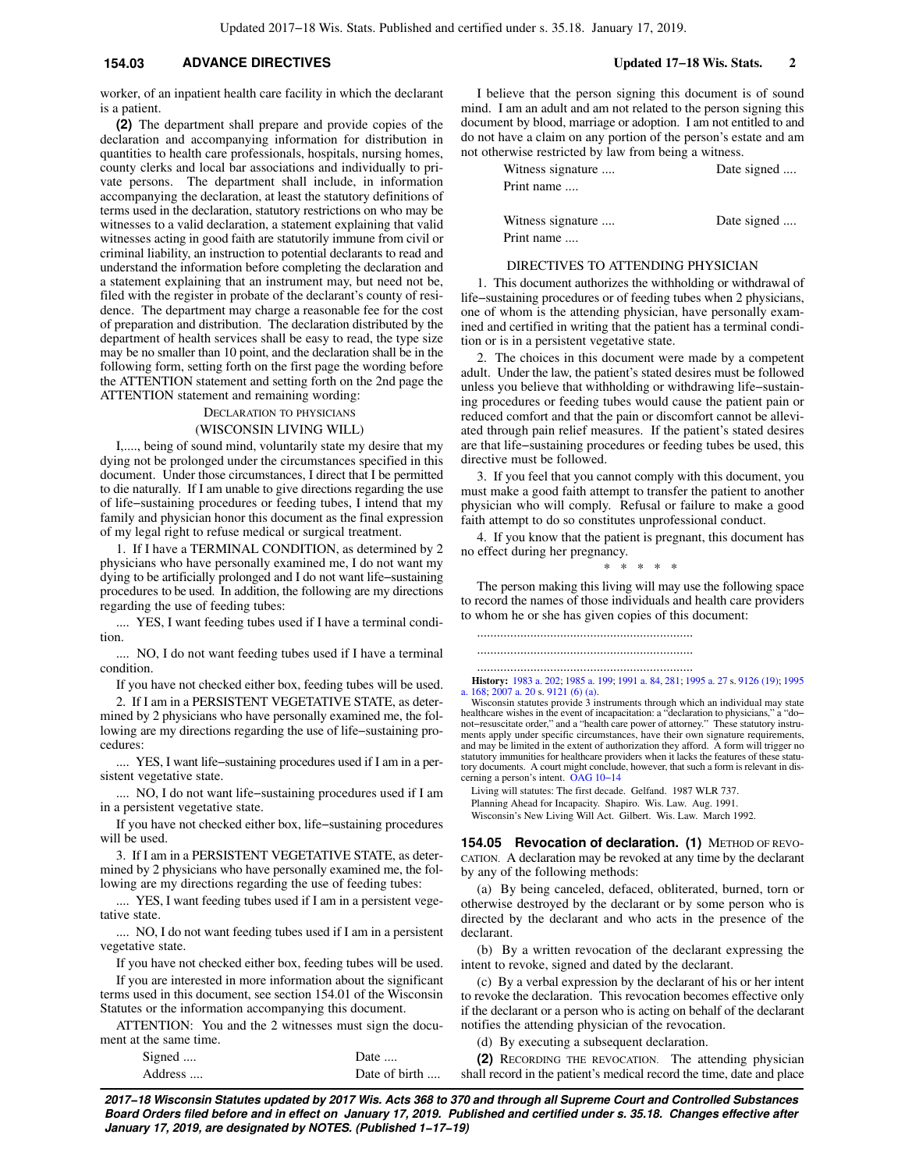# **154.03 ADVANCE DIRECTIVES Updated 17−18 Wis. Stats. 2**

worker, of an inpatient health care facility in which the declarant is a patient.

**(2)** The department shall prepare and provide copies of the declaration and accompanying information for distribution in quantities to health care professionals, hospitals, nursing homes, county clerks and local bar associations and individually to private persons. The department shall include, in information accompanying the declaration, at least the statutory definitions of terms used in the declaration, statutory restrictions on who may be witnesses to a valid declaration, a statement explaining that valid witnesses acting in good faith are statutorily immune from civil or criminal liability, an instruction to potential declarants to read and understand the information before completing the declaration and a statement explaining that an instrument may, but need not be, filed with the register in probate of the declarant's county of residence. The department may charge a reasonable fee for the cost of preparation and distribution. The declaration distributed by the department of health services shall be easy to read, the type size may be no smaller than 10 point, and the declaration shall be in the following form, setting forth on the first page the wording before the ATTENTION statement and setting forth on the 2nd page the ATTENTION statement and remaining wording:

# DECLARATION TO PHYSICIANS

# (WISCONSIN LIVING WILL)

I,...., being of sound mind, voluntarily state my desire that my dying not be prolonged under the circumstances specified in this document. Under those circumstances, I direct that I be permitted to die naturally. If I am unable to give directions regarding the use of life−sustaining procedures or feeding tubes, I intend that my family and physician honor this document as the final expression of my legal right to refuse medical or surgical treatment.

1. If I have a TERMINAL CONDITION, as determined by 2 physicians who have personally examined me, I do not want my dying to be artificially prolonged and I do not want life−sustaining procedures to be used. In addition, the following are my directions regarding the use of feeding tubes:

.... YES, I want feeding tubes used if I have a terminal condition.

.... NO, I do not want feeding tubes used if I have a terminal condition.

If you have not checked either box, feeding tubes will be used.

2. If I am in a PERSISTENT VEGETATIVE STATE, as determined by 2 physicians who have personally examined me, the following are my directions regarding the use of life−sustaining procedures:

.... YES, I want life−sustaining procedures used if I am in a persistent vegetative state.

.... NO, I do not want life−sustaining procedures used if I am in a persistent vegetative state.

If you have not checked either box, life−sustaining procedures will be used.

3. If I am in a PERSISTENT VEGETATIVE STATE, as determined by 2 physicians who have personally examined me, the following are my directions regarding the use of feeding tubes:

.... YES, I want feeding tubes used if I am in a persistent vegetative state.

.... NO, I do not want feeding tubes used if I am in a persistent vegetative state.

If you have not checked either box, feeding tubes will be used.

If you are interested in more information about the significant terms used in this document, see section 154.01 of the Wisconsin Statutes or the information accompanying this document.

ATTENTION: You and the 2 witnesses must sign the document at the same time.

| Signed  | Date          |
|---------|---------------|
| Address | Date of birth |

I believe that the person signing this document is of sound mind. I am an adult and am not related to the person signing this document by blood, marriage or adoption. I am not entitled to and do not have a claim on any portion of the person's estate and am not otherwise restricted by law from being a witness.

| Witness signature | Date signed |
|-------------------|-------------|
| Print name        |             |
|                   |             |
| Witness signature | Date signed |

#### DIRECTIVES TO ATTENDING PHYSICIAN

Print name ....

1. This document authorizes the withholding or withdrawal of life−sustaining procedures or of feeding tubes when 2 physicians, one of whom is the attending physician, have personally examined and certified in writing that the patient has a terminal condition or is in a persistent vegetative state.

2. The choices in this document were made by a competent adult. Under the law, the patient's stated desires must be followed unless you believe that withholding or withdrawing life−sustaining procedures or feeding tubes would cause the patient pain or reduced comfort and that the pain or discomfort cannot be alleviated through pain relief measures. If the patient's stated desires are that life−sustaining procedures or feeding tubes be used, this directive must be followed.

3. If you feel that you cannot comply with this document, you must make a good faith attempt to transfer the patient to another physician who will comply. Refusal or failure to make a good faith attempt to do so constitutes unprofessional conduct.

4. If you know that the patient is pregnant, this document has no effect during her pregnancy.

\* \* \* \* \*

The person making this living will may use the following space to record the names of those individuals and health care providers to whom he or she has given copies of this document:

................................................................. ................................................................. .................................................................

**History:** [1983 a. 202](https://docs.legis.wisconsin.gov/document/acts/1983/202); [1985 a. 199;](https://docs.legis.wisconsin.gov/document/acts/1985/199) [1991 a. 84,](https://docs.legis.wisconsin.gov/document/acts/1991/84) [281](https://docs.legis.wisconsin.gov/document/acts/1991/281); [1995 a. 27](https://docs.legis.wisconsin.gov/document/acts/1995/27) s. [9126 \(19\);](https://docs.legis.wisconsin.gov/document/acts/1995/27,%20s.%209126) [1995](https://docs.legis.wisconsin.gov/document/acts/1995/168) [a. 168](https://docs.legis.wisconsin.gov/document/acts/1995/168); [2007 a. 20](https://docs.legis.wisconsin.gov/document/acts/2007/20) s. [9121 \(6\) \(a\).](https://docs.legis.wisconsin.gov/document/acts/2007/20,%20s.%209121)

Wisconsin statutes provide 3 instruments through which an individual may state healthcare wishes in the event of incapacitation: a "declaration to physicians," a "do− not−resuscitate order," and a "health care power of attorney." These statutory instruments apply under specific circumstances, have their own signature requirements, and may be limited in the extent of authorization they afford. A form will trigger no statutory immunities for healthcare providers when it lacks the features of these statutory documents. A court might conclude, however, that such a form is relevant in dis-cerning a person's intent. [OAG 10−14](https://docs.legis.wisconsin.gov/document/oag/oag10-14)

Living will statutes: The first decade. Gelfand. 1987 WLR 737. Planning Ahead for Incapacity. Shapiro. Wis. Law. Aug. 1991. Wisconsin's New Living Will Act. Gilbert. Wis. Law. March 1992.

154.05 Revocation of declaration. (1) METHOD OF REVO-CATION. A declaration may be revoked at any time by the declarant by any of the following methods:

(a) By being canceled, defaced, obliterated, burned, torn or otherwise destroyed by the declarant or by some person who is directed by the declarant and who acts in the presence of the declarant.

(b) By a written revocation of the declarant expressing the intent to revoke, signed and dated by the declarant.

(c) By a verbal expression by the declarant of his or her intent to revoke the declaration. This revocation becomes effective only if the declarant or a person who is acting on behalf of the declarant notifies the attending physician of the revocation.

(d) By executing a subsequent declaration.

**(2)** RECORDING THE REVOCATION. The attending physician shall record in the patient's medical record the time, date and place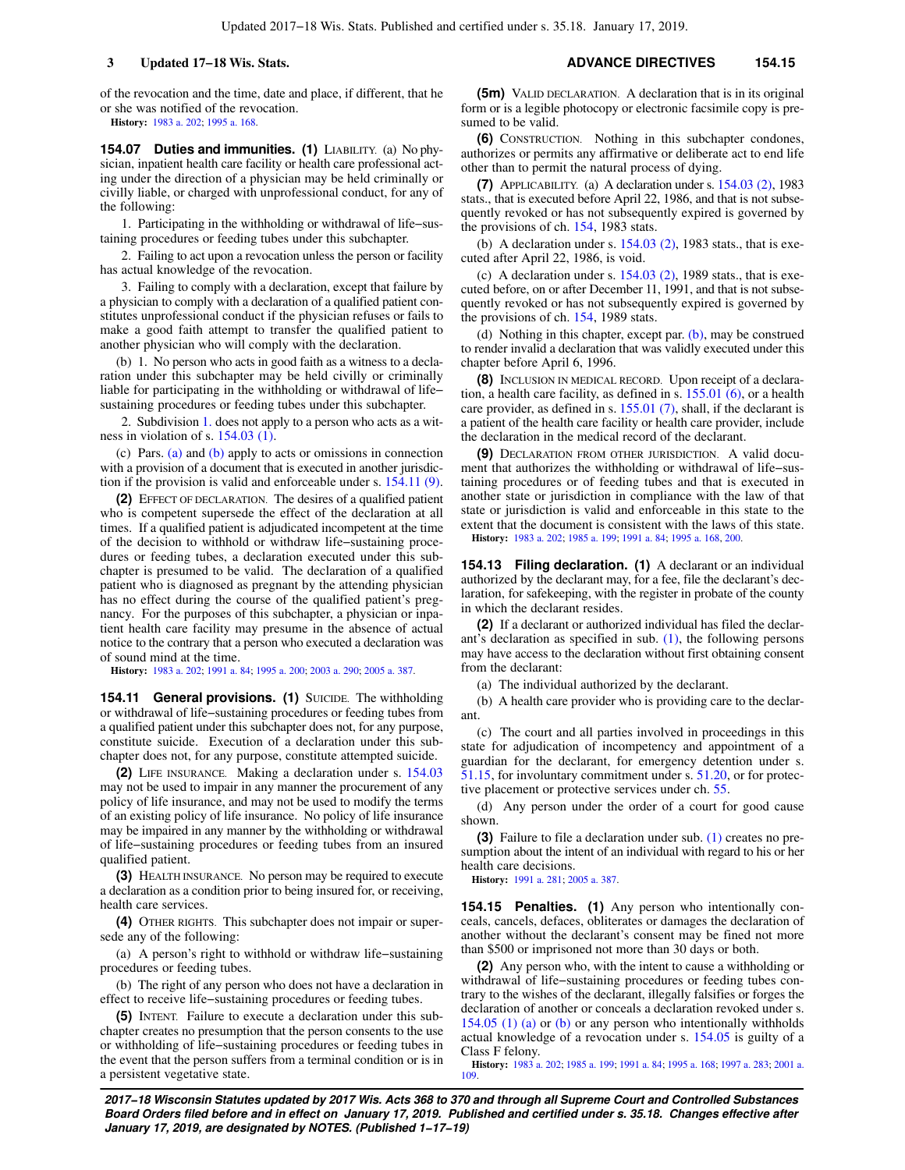# **3 Updated 17−18 Wis. Stats. ADVANCE DIRECTIVES 154.15**

of the revocation and the time, date and place, if different, that he or she was notified of the revocation.

**History:** [1983 a. 202](https://docs.legis.wisconsin.gov/document/acts/1983/202); [1995 a. 168](https://docs.legis.wisconsin.gov/document/acts/1995/168).

**154.07 Duties and immunities. (1)** LIABILITY. (a) No physician, inpatient health care facility or health care professional acting under the direction of a physician may be held criminally or civilly liable, or charged with unprofessional conduct, for any of the following:

1. Participating in the withholding or withdrawal of life−sustaining procedures or feeding tubes under this subchapter.

2. Failing to act upon a revocation unless the person or facility has actual knowledge of the revocation.

3. Failing to comply with a declaration, except that failure by a physician to comply with a declaration of a qualified patient constitutes unprofessional conduct if the physician refuses or fails to make a good faith attempt to transfer the qualified patient to another physician who will comply with the declaration.

(b) 1. No person who acts in good faith as a witness to a declaration under this subchapter may be held civilly or criminally liable for participating in the withholding or withdrawal of life− sustaining procedures or feeding tubes under this subchapter.

2. Subdivision [1.](https://docs.legis.wisconsin.gov/document/statutes/154.07(1)(b)1.) does not apply to a person who acts as a witness in violation of s. [154.03 \(1\).](https://docs.legis.wisconsin.gov/document/statutes/154.03(1))

(c) Pars. [\(a\)](https://docs.legis.wisconsin.gov/document/statutes/154.07(1)(a)) and [\(b\)](https://docs.legis.wisconsin.gov/document/statutes/154.07(1)(b)) apply to acts or omissions in connection with a provision of a document that is executed in another jurisdiction if the provision is valid and enforceable under s. [154.11 \(9\).](https://docs.legis.wisconsin.gov/document/statutes/154.11(9))

**(2)** EFFECT OF DECLARATION. The desires of a qualified patient who is competent supersede the effect of the declaration at all times. If a qualified patient is adjudicated incompetent at the time of the decision to withhold or withdraw life−sustaining procedures or feeding tubes, a declaration executed under this subchapter is presumed to be valid. The declaration of a qualified patient who is diagnosed as pregnant by the attending physician has no effect during the course of the qualified patient's pregnancy. For the purposes of this subchapter, a physician or inpatient health care facility may presume in the absence of actual notice to the contrary that a person who executed a declaration was of sound mind at the time.

**History:** [1983 a. 202](https://docs.legis.wisconsin.gov/document/acts/1983/202); [1991 a. 84;](https://docs.legis.wisconsin.gov/document/acts/1991/84) [1995 a. 200](https://docs.legis.wisconsin.gov/document/acts/1995/200); [2003 a. 290;](https://docs.legis.wisconsin.gov/document/acts/2003/290) [2005 a. 387.](https://docs.legis.wisconsin.gov/document/acts/2005/387)

**154.11 General provisions. (1)** SUICIDE. The withholding or withdrawal of life−sustaining procedures or feeding tubes from a qualified patient under this subchapter does not, for any purpose, constitute suicide. Execution of a declaration under this subchapter does not, for any purpose, constitute attempted suicide.

**(2)** LIFE INSURANCE. Making a declaration under s. [154.03](https://docs.legis.wisconsin.gov/document/statutes/154.03) may not be used to impair in any manner the procurement of any policy of life insurance, and may not be used to modify the terms of an existing policy of life insurance. No policy of life insurance may be impaired in any manner by the withholding or withdrawal of life−sustaining procedures or feeding tubes from an insured qualified patient.

**(3)** HEALTH INSURANCE. No person may be required to execute a declaration as a condition prior to being insured for, or receiving, health care services.

**(4)** OTHER RIGHTS. This subchapter does not impair or supersede any of the following:

(a) A person's right to withhold or withdraw life−sustaining procedures or feeding tubes.

(b) The right of any person who does not have a declaration in effect to receive life−sustaining procedures or feeding tubes.

**(5)** INTENT. Failure to execute a declaration under this subchapter creates no presumption that the person consents to the use or withholding of life−sustaining procedures or feeding tubes in the event that the person suffers from a terminal condition or is in a persistent vegetative state.

**(5m)** VALID DECLARATION. A declaration that is in its original form or is a legible photocopy or electronic facsimile copy is presumed to be valid.

**(6)** CONSTRUCTION. Nothing in this subchapter condones, authorizes or permits any affirmative or deliberate act to end life other than to permit the natural process of dying.

**(7)** APPLICABILITY. (a) A declaration under s. [154.03 \(2\)](https://docs.legis.wisconsin.gov/document/statutes/1983/154.03(2)), 1983 stats., that is executed before April 22, 1986, and that is not subsequently revoked or has not subsequently expired is governed by the provisions of ch. [154,](https://docs.legis.wisconsin.gov/document/statutes/1983/ch.%20154) 1983 stats.

(b) A declaration under s.  $154.03$  (2), 1983 stats., that is executed after April 22, 1986, is void.

(c) A declaration under s.  $154.03$  (2), 1989 stats., that is executed before, on or after December 11, 1991, and that is not subsequently revoked or has not subsequently expired is governed by the provisions of ch. [154,](https://docs.legis.wisconsin.gov/document/statutes/1989/ch.%20154) 1989 stats.

(d) Nothing in this chapter, except par.  $(b)$ , may be construed to render invalid a declaration that was validly executed under this chapter before April 6, 1996.

**(8)** INCLUSION IN MEDICAL RECORD. Upon receipt of a declaration, a health care facility, as defined in s. [155.01 \(6\),](https://docs.legis.wisconsin.gov/document/statutes/155.01(6)) or a health care provider, as defined in s. [155.01 \(7\),](https://docs.legis.wisconsin.gov/document/statutes/155.01(7)) shall, if the declarant is a patient of the health care facility or health care provider, include the declaration in the medical record of the declarant.

**(9)** DECLARATION FROM OTHER JURISDICTION. A valid document that authorizes the withholding or withdrawal of life−sustaining procedures or of feeding tubes and that is executed in another state or jurisdiction in compliance with the law of that state or jurisdiction is valid and enforceable in this state to the extent that the document is consistent with the laws of this state. **History:** [1983 a. 202;](https://docs.legis.wisconsin.gov/document/acts/1983/202) [1985 a. 199](https://docs.legis.wisconsin.gov/document/acts/1985/199); [1991 a. 84](https://docs.legis.wisconsin.gov/document/acts/1991/84); [1995 a. 168](https://docs.legis.wisconsin.gov/document/acts/1995/168), [200](https://docs.legis.wisconsin.gov/document/acts/1995/200).

**154.13 Filing declaration. (1)** A declarant or an individual authorized by the declarant may, for a fee, file the declarant's declaration, for safekeeping, with the register in probate of the county in which the declarant resides.

**(2)** If a declarant or authorized individual has filed the declarant's declaration as specified in sub. [\(1\)](https://docs.legis.wisconsin.gov/document/statutes/154.13(1)), the following persons may have access to the declaration without first obtaining consent from the declarant:

(a) The individual authorized by the declarant.

(b) A health care provider who is providing care to the declarant.

(c) The court and all parties involved in proceedings in this state for adjudication of incompetency and appointment of a guardian for the declarant, for emergency detention under s. [51.15](https://docs.legis.wisconsin.gov/document/statutes/51.15), for involuntary commitment under s. [51.20](https://docs.legis.wisconsin.gov/document/statutes/51.20), or for protective placement or protective services under ch. [55.](https://docs.legis.wisconsin.gov/document/statutes/ch.%2055)

(d) Any person under the order of a court for good cause shown.

**(3)** Failure to file a declaration under sub. [\(1\)](https://docs.legis.wisconsin.gov/document/statutes/154.13(1)) creates no presumption about the intent of an individual with regard to his or her health care decisions.

**History:** [1991 a. 281;](https://docs.legis.wisconsin.gov/document/acts/1991/281) [2005 a. 387](https://docs.legis.wisconsin.gov/document/acts/2005/387).

**154.15 Penalties. (1)** Any person who intentionally conceals, cancels, defaces, obliterates or damages the declaration of another without the declarant's consent may be fined not more than \$500 or imprisoned not more than 30 days or both.

**(2)** Any person who, with the intent to cause a withholding or withdrawal of life−sustaining procedures or feeding tubes contrary to the wishes of the declarant, illegally falsifies or forges the declaration of another or conceals a declaration revoked under s. [154.05 \(1\) \(a\)](https://docs.legis.wisconsin.gov/document/statutes/154.05(1)(a)) or [\(b\)](https://docs.legis.wisconsin.gov/document/statutes/154.05(1)(b)) or any person who intentionally withholds actual knowledge of a revocation under s. [154.05](https://docs.legis.wisconsin.gov/document/statutes/154.05) is guilty of a Class F felony.

**History:** [1983 a. 202;](https://docs.legis.wisconsin.gov/document/acts/1983/202) [1985 a. 199;](https://docs.legis.wisconsin.gov/document/acts/1985/199) [1991 a. 84](https://docs.legis.wisconsin.gov/document/acts/1991/84); [1995 a. 168](https://docs.legis.wisconsin.gov/document/acts/1995/168); [1997 a. 283](https://docs.legis.wisconsin.gov/document/acts/1997/283); [2001 a.](https://docs.legis.wisconsin.gov/document/acts/2001/109) [109.](https://docs.legis.wisconsin.gov/document/acts/2001/109)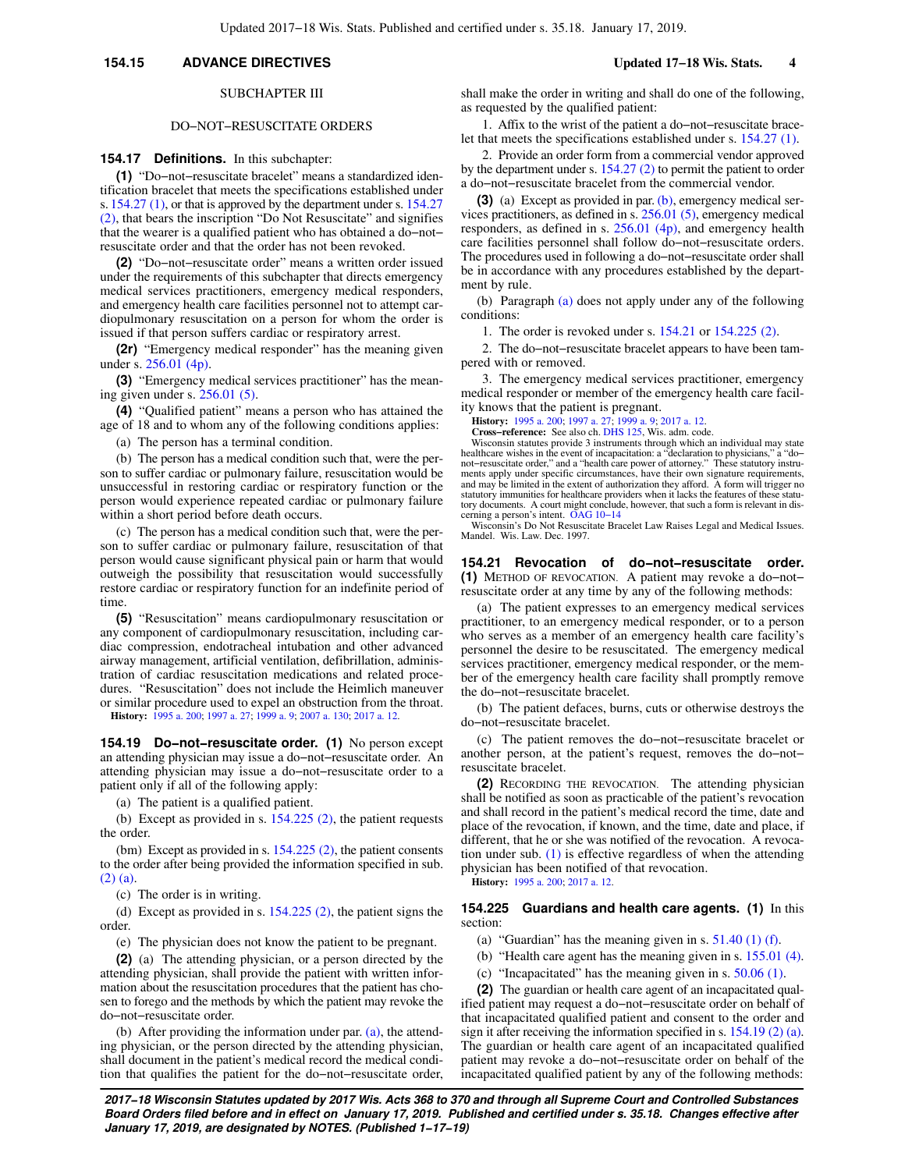# **154.15 ADVANCE DIRECTIVES Updated 17−18 Wis. Stats. 4**

# SUBCHAPTER III

### DO−NOT−RESUSCITATE ORDERS

### **154.17 Definitions.** In this subchapter:

**(1)** "Do−not−resuscitate bracelet" means a standardized identification bracelet that meets the specifications established under s. [154.27 \(1\),](https://docs.legis.wisconsin.gov/document/statutes/154.27(1)) or that is approved by the department under s. [154.27](https://docs.legis.wisconsin.gov/document/statutes/154.27(2)) [\(2\)](https://docs.legis.wisconsin.gov/document/statutes/154.27(2)), that bears the inscription "Do Not Resuscitate" and signifies that the wearer is a qualified patient who has obtained a do−not− resuscitate order and that the order has not been revoked.

**(2)** "Do−not−resuscitate order" means a written order issued under the requirements of this subchapter that directs emergency medical services practitioners, emergency medical responders, and emergency health care facilities personnel not to attempt cardiopulmonary resuscitation on a person for whom the order is issued if that person suffers cardiac or respiratory arrest.

**(2r)** "Emergency medical responder" has the meaning given under s. [256.01 \(4p\).](https://docs.legis.wisconsin.gov/document/statutes/256.01(4p))

**(3)** "Emergency medical services practitioner" has the meaning given under s. [256.01 \(5\).](https://docs.legis.wisconsin.gov/document/statutes/256.01(5))

**(4)** "Qualified patient" means a person who has attained the age of 18 and to whom any of the following conditions applies:

(a) The person has a terminal condition.

(b) The person has a medical condition such that, were the person to suffer cardiac or pulmonary failure, resuscitation would be unsuccessful in restoring cardiac or respiratory function or the person would experience repeated cardiac or pulmonary failure within a short period before death occurs.

(c) The person has a medical condition such that, were the person to suffer cardiac or pulmonary failure, resuscitation of that person would cause significant physical pain or harm that would outweigh the possibility that resuscitation would successfully restore cardiac or respiratory function for an indefinite period of time.

**(5)** "Resuscitation" means cardiopulmonary resuscitation or any component of cardiopulmonary resuscitation, including cardiac compression, endotracheal intubation and other advanced airway management, artificial ventilation, defibrillation, administration of cardiac resuscitation medications and related procedures. "Resuscitation" does not include the Heimlich maneuver or similar procedure used to expel an obstruction from the throat.

**History:** [1995 a. 200](https://docs.legis.wisconsin.gov/document/acts/1995/200); [1997 a. 27;](https://docs.legis.wisconsin.gov/document/acts/1997/27) [1999 a. 9](https://docs.legis.wisconsin.gov/document/acts/1999/9); [2007 a. 130;](https://docs.legis.wisconsin.gov/document/acts/2007/130) [2017 a. 12](https://docs.legis.wisconsin.gov/document/acts/2017/12).

**154.19 Do−not−resuscitate order. (1)** No person except an attending physician may issue a do−not−resuscitate order. An attending physician may issue a do−not−resuscitate order to a patient only if all of the following apply:

(a) The patient is a qualified patient.

(b) Except as provided in s. [154.225 \(2\)](https://docs.legis.wisconsin.gov/document/statutes/154.225(2)), the patient requests the order

(bm) Except as provided in s.  $154.225(2)$ , the patient consents to the order after being provided the information specified in sub. [\(2\) \(a\).](https://docs.legis.wisconsin.gov/document/statutes/154.19(2)(a))

(c) The order is in writing.

(d) Except as provided in s.  $154.225$  (2), the patient signs the order.

(e) The physician does not know the patient to be pregnant.

**(2)** (a) The attending physician, or a person directed by the attending physician, shall provide the patient with written information about the resuscitation procedures that the patient has chosen to forego and the methods by which the patient may revoke the do−not−resuscitate order.

(b) After providing the information under par. [\(a\)](https://docs.legis.wisconsin.gov/document/statutes/154.19(2)(a)), the attending physician, or the person directed by the attending physician, shall document in the patient's medical record the medical condition that qualifies the patient for the do−not−resuscitate order,

shall make the order in writing and shall do one of the following, as requested by the qualified patient:

1. Affix to the wrist of the patient a do−not−resuscitate bracelet that meets the specifications established under s. [154.27 \(1\).](https://docs.legis.wisconsin.gov/document/statutes/154.27(1))

2. Provide an order form from a commercial vendor approved by the department under s. [154.27 \(2\)](https://docs.legis.wisconsin.gov/document/statutes/154.27(2)) to permit the patient to order a do−not−resuscitate bracelet from the commercial vendor.

**(3)** (a) Except as provided in par. [\(b\)](https://docs.legis.wisconsin.gov/document/statutes/154.19(3)(b)), emergency medical services practitioners, as defined in s. [256.01 \(5\),](https://docs.legis.wisconsin.gov/document/statutes/256.01(5)) emergency medical responders, as defined in s.  $256.01$  (4p), and emergency health care facilities personnel shall follow do−not−resuscitate orders. The procedures used in following a do−not−resuscitate order shall be in accordance with any procedures established by the department by rule.

(b) Paragraph [\(a\)](https://docs.legis.wisconsin.gov/document/statutes/154.19(3)(a)) does not apply under any of the following conditions:

1. The order is revoked under s. [154.21](https://docs.legis.wisconsin.gov/document/statutes/154.21) or [154.225 \(2\)](https://docs.legis.wisconsin.gov/document/statutes/154.225(2)).

2. The do−not−resuscitate bracelet appears to have been tampered with or removed.

3. The emergency medical services practitioner, emergency medical responder or member of the emergency health care facility knows that the patient is pregnant.

**History:** [1995 a. 200;](https://docs.legis.wisconsin.gov/document/acts/1995/200) [1997 a. 27;](https://docs.legis.wisconsin.gov/document/acts/1997/27) [1999 a. 9](https://docs.legis.wisconsin.gov/document/acts/1999/9); [2017 a. 12.](https://docs.legis.wisconsin.gov/document/acts/2017/12)

**Cross−reference:** See also ch. [DHS 125,](https://docs.legis.wisconsin.gov/document/administrativecode/ch.%20DHS%20125) Wis. adm. code. Wisconsin statutes provide 3 instruments through which an individual may state healthcare wishes in the event of incapacitation: a "declaration to physicians," a "do− not−resuscitate order," and a "health care power of attorney." These statutory instruments apply under specific circumstances, have their own signature requirements,<br>and may be limited in the extent of authorization they afford. A form will trigger no<br>statutory immunities for healthcare providers when it l tory documents. A court might conclude, however, that such a form is relevant in dis-cerning a person's intent. [OAG 10−14](https://docs.legis.wisconsin.gov/document/oag/oag10-14)

Wisconsin's Do Not Resuscitate Bracelet Law Raises Legal and Medical Issues. Mandel. Wis. Law. Dec. 1997.

**154.21 Revocation of do−not−resuscitate order. (1)** METHOD OF REVOCATION. A patient may revoke a do−not− resuscitate order at any time by any of the following methods:

(a) The patient expresses to an emergency medical services practitioner, to an emergency medical responder, or to a person who serves as a member of an emergency health care facility's personnel the desire to be resuscitated. The emergency medical services practitioner, emergency medical responder, or the member of the emergency health care facility shall promptly remove the do−not−resuscitate bracelet.

(b) The patient defaces, burns, cuts or otherwise destroys the do−not−resuscitate bracelet.

(c) The patient removes the do−not−resuscitate bracelet or another person, at the patient's request, removes the do−not− resuscitate bracelet.

**(2)** RECORDING THE REVOCATION. The attending physician shall be notified as soon as practicable of the patient's revocation and shall record in the patient's medical record the time, date and place of the revocation, if known, and the time, date and place, if different, that he or she was notified of the revocation. A revocation under sub. [\(1\)](https://docs.legis.wisconsin.gov/document/statutes/154.21(1)) is effective regardless of when the attending physician has been notified of that revocation. **History:** [1995 a. 200;](https://docs.legis.wisconsin.gov/document/acts/1995/200) [2017 a. 12.](https://docs.legis.wisconsin.gov/document/acts/2017/12)

# **154.225 Guardians and health care agents. (1)** In this section:

(a) "Guardian" has the meaning given in s.  $51.40(1)$  (f).

(b) "Health care agent has the meaning given in s. [155.01 \(4\).](https://docs.legis.wisconsin.gov/document/statutes/155.01(4))

(c) "Incapacitated" has the meaning given in s. [50.06 \(1\)](https://docs.legis.wisconsin.gov/document/statutes/50.06(1)).

**(2)** The guardian or health care agent of an incapacitated qualified patient may request a do−not−resuscitate order on behalf of that incapacitated qualified patient and consent to the order and sign it after receiving the information specified in s. [154.19 \(2\) \(a\).](https://docs.legis.wisconsin.gov/document/statutes/154.19(2)(a)) The guardian or health care agent of an incapacitated qualified patient may revoke a do−not−resuscitate order on behalf of the incapacitated qualified patient by any of the following methods: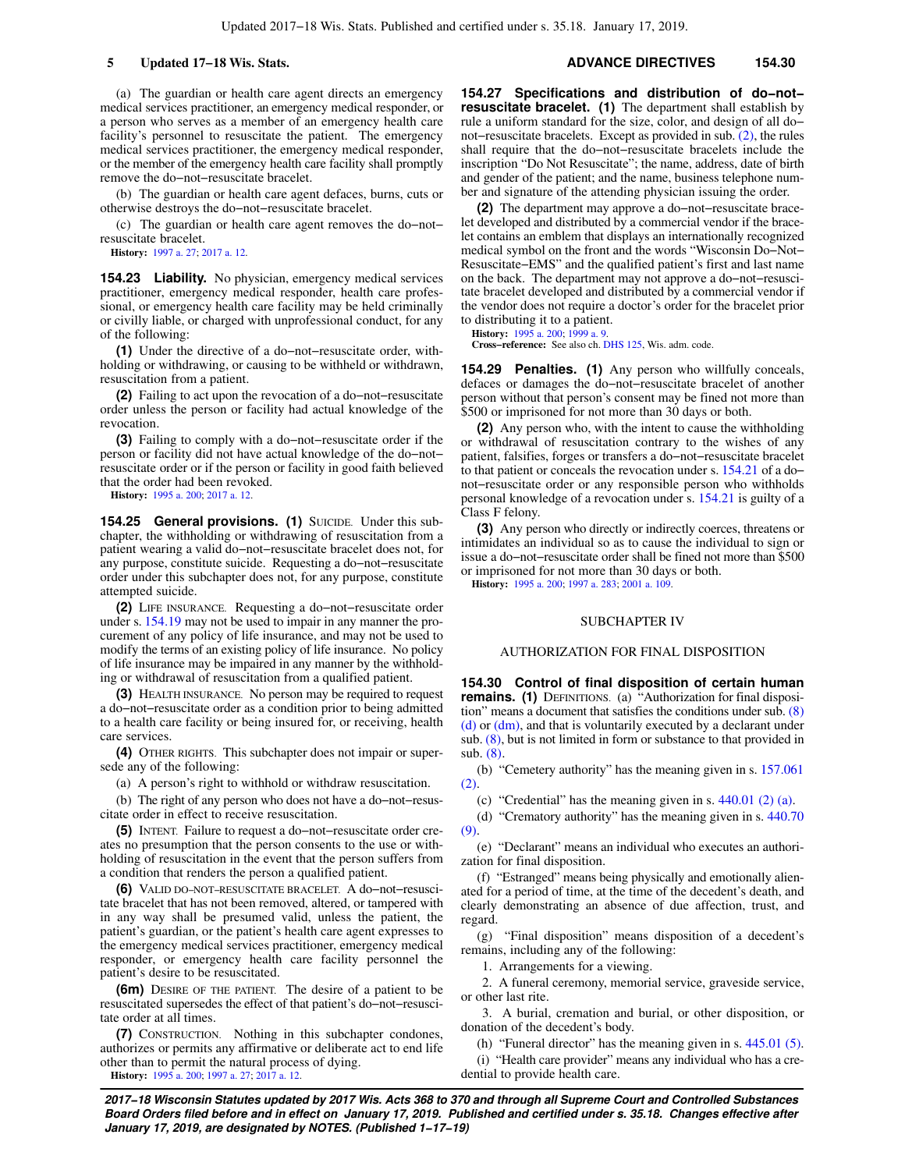(a) The guardian or health care agent directs an emergency medical services practitioner, an emergency medical responder, or a person who serves as a member of an emergency health care facility's personnel to resuscitate the patient. The emergency medical services practitioner, the emergency medical responder, or the member of the emergency health care facility shall promptly remove the do−not−resuscitate bracelet.

(b) The guardian or health care agent defaces, burns, cuts or otherwise destroys the do−not−resuscitate bracelet.

(c) The guardian or health care agent removes the do−not− resuscitate bracelet.

**History:** [1997 a. 27;](https://docs.legis.wisconsin.gov/document/acts/1997/27) [2017 a. 12.](https://docs.legis.wisconsin.gov/document/acts/2017/12)

**154.23 Liability.** No physician, emergency medical services practitioner, emergency medical responder, health care professional, or emergency health care facility may be held criminally or civilly liable, or charged with unprofessional conduct, for any of the following:

**(1)** Under the directive of a do−not−resuscitate order, withholding or withdrawing, or causing to be withheld or withdrawn, resuscitation from a patient.

**(2)** Failing to act upon the revocation of a do−not−resuscitate order unless the person or facility had actual knowledge of the revocation.

**(3)** Failing to comply with a do−not−resuscitate order if the person or facility did not have actual knowledge of the do−not− resuscitate order or if the person or facility in good faith believed that the order had been revoked.

**History:** [1995 a. 200](https://docs.legis.wisconsin.gov/document/acts/1995/200); [2017 a. 12.](https://docs.legis.wisconsin.gov/document/acts/2017/12)

**154.25 General provisions. (1)** SUICIDE. Under this subchapter, the withholding or withdrawing of resuscitation from a patient wearing a valid do−not−resuscitate bracelet does not, for any purpose, constitute suicide. Requesting a do−not−resuscitate order under this subchapter does not, for any purpose, constitute attempted suicide.

**(2)** LIFE INSURANCE. Requesting a do−not−resuscitate order under s. [154.19](https://docs.legis.wisconsin.gov/document/statutes/154.19) may not be used to impair in any manner the procurement of any policy of life insurance, and may not be used to modify the terms of an existing policy of life insurance. No policy of life insurance may be impaired in any manner by the withholding or withdrawal of resuscitation from a qualified patient.

**(3)** HEALTH INSURANCE. No person may be required to request a do−not−resuscitate order as a condition prior to being admitted to a health care facility or being insured for, or receiving, health care services.

**(4)** OTHER RIGHTS. This subchapter does not impair or supersede any of the following:

(a) A person's right to withhold or withdraw resuscitation.

(b) The right of any person who does not have a do−not−resuscitate order in effect to receive resuscitation.

**(5)** INTENT. Failure to request a do−not−resuscitate order creates no presumption that the person consents to the use or withholding of resuscitation in the event that the person suffers from a condition that renders the person a qualified patient.

**(6)** VALID DO−NOT−RESUSCITATE BRACELET. A do−not−resuscitate bracelet that has not been removed, altered, or tampered with in any way shall be presumed valid, unless the patient, the patient's guardian, or the patient's health care agent expresses to the emergency medical services practitioner, emergency medical responder, or emergency health care facility personnel the patient's desire to be resuscitated.

**(6m)** DESIRE OF THE PATIENT. The desire of a patient to be resuscitated supersedes the effect of that patient's do−not−resuscitate order at all times.

**(7)** CONSTRUCTION. Nothing in this subchapter condones, authorizes or permits any affirmative or deliberate act to end life other than to permit the natural process of dying.

**History:** [1995 a. 200](https://docs.legis.wisconsin.gov/document/acts/1995/200); [1997 a. 27;](https://docs.legis.wisconsin.gov/document/acts/1997/27) [2017 a. 12.](https://docs.legis.wisconsin.gov/document/acts/2017/12)

# **5 Updated 17−18 Wis. Stats. ADVANCE DIRECTIVES 154.30**

**154.27 Specifications and distribution of do−not− resuscitate bracelet. (1)** The department shall establish by rule a uniform standard for the size, color, and design of all do− not−resuscitate bracelets. Except as provided in sub. [\(2\)](https://docs.legis.wisconsin.gov/document/statutes/154.27(2)), the rules shall require that the do−not−resuscitate bracelets include the inscription "Do Not Resuscitate"; the name, address, date of birth and gender of the patient; and the name, business telephone number and signature of the attending physician issuing the order.

**(2)** The department may approve a do−not−resuscitate bracelet developed and distributed by a commercial vendor if the bracelet contains an emblem that displays an internationally recognized medical symbol on the front and the words "Wisconsin Do−Not− Resuscitate−EMS" and the qualified patient's first and last name on the back. The department may not approve a do−not−resuscitate bracelet developed and distributed by a commercial vendor if the vendor does not require a doctor's order for the bracelet prior to distributing it to a patient.

**History:** [1995 a. 200;](https://docs.legis.wisconsin.gov/document/acts/1995/200) [1999 a. 9](https://docs.legis.wisconsin.gov/document/acts/1999/9).

**Cross−reference:** See also ch. [DHS 125,](https://docs.legis.wisconsin.gov/document/administrativecode/ch.%20DHS%20125) Wis. adm. code.

**154.29 Penalties. (1)** Any person who willfully conceals, defaces or damages the do−not−resuscitate bracelet of another person without that person's consent may be fined not more than \$500 or imprisoned for not more than 30 days or both.

**(2)** Any person who, with the intent to cause the withholding or withdrawal of resuscitation contrary to the wishes of any patient, falsifies, forges or transfers a do−not−resuscitate bracelet to that patient or conceals the revocation under s. [154.21](https://docs.legis.wisconsin.gov/document/statutes/154.21) of a do− not−resuscitate order or any responsible person who withholds personal knowledge of a revocation under s. [154.21](https://docs.legis.wisconsin.gov/document/statutes/154.21) is guilty of a Class F felony.

**(3)** Any person who directly or indirectly coerces, threatens or intimidates an individual so as to cause the individual to sign or issue a do−not−resuscitate order shall be fined not more than \$500 or imprisoned for not more than 30 days or both.

**History:** [1995 a. 200;](https://docs.legis.wisconsin.gov/document/acts/1995/200) [1997 a. 283](https://docs.legis.wisconsin.gov/document/acts/1997/283); [2001 a. 109.](https://docs.legis.wisconsin.gov/document/acts/2001/109)

#### SUBCHAPTER IV

### AUTHORIZATION FOR FINAL DISPOSITION

**154.30 Control of final disposition of certain human remains.** (1) DEFINITIONS. (a) "Authorization for final disposition" means a document that satisfies the conditions under sub. [\(8\)](https://docs.legis.wisconsin.gov/document/statutes/154.30(8)(d)) [\(d\)](https://docs.legis.wisconsin.gov/document/statutes/154.30(8)(d)) or [\(dm\),](https://docs.legis.wisconsin.gov/document/statutes/154.30(8)(dm)) and that is voluntarily executed by a declarant under sub. [\(8\)](https://docs.legis.wisconsin.gov/document/statutes/154.30(8)), but is not limited in form or substance to that provided in sub. [\(8\).](https://docs.legis.wisconsin.gov/document/statutes/154.30(8))

(b) "Cemetery authority" has the meaning given in s. [157.061](https://docs.legis.wisconsin.gov/document/statutes/157.061(2)) [\(2\).](https://docs.legis.wisconsin.gov/document/statutes/157.061(2))

(c) "Credential" has the meaning given in s. [440.01 \(2\) \(a\)](https://docs.legis.wisconsin.gov/document/statutes/440.01(2)(a)).

(d) "Crematory authority" has the meaning given in s. [440.70](https://docs.legis.wisconsin.gov/document/statutes/440.70(9)) [\(9\).](https://docs.legis.wisconsin.gov/document/statutes/440.70(9))

(e) "Declarant" means an individual who executes an authorization for final disposition.

(f) "Estranged" means being physically and emotionally alienated for a period of time, at the time of the decedent's death, and clearly demonstrating an absence of due affection, trust, and regard.

(g) "Final disposition" means disposition of a decedent's remains, including any of the following:

1. Arrangements for a viewing.

2. A funeral ceremony, memorial service, graveside service, or other last rite.

3. A burial, cremation and burial, or other disposition, or donation of the decedent's body.

(h) "Funeral director" has the meaning given in s. [445.01 \(5\).](https://docs.legis.wisconsin.gov/document/statutes/445.01(5))

(i) "Health care provider" means any individual who has a credential to provide health care.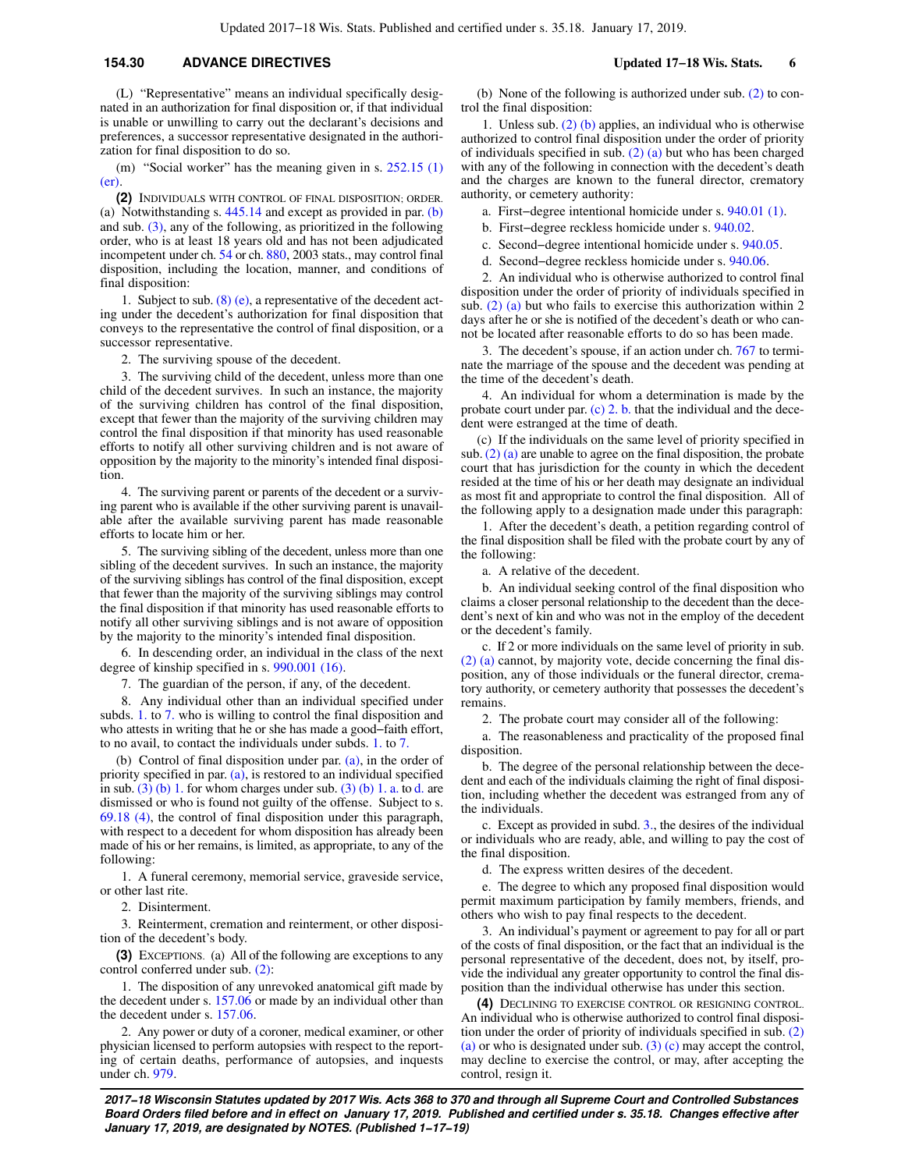# **154.30 ADVANCE DIRECTIVES Updated 17−18 Wis. Stats. 6**

(L) "Representative" means an individual specifically designated in an authorization for final disposition or, if that individual is unable or unwilling to carry out the declarant's decisions and preferences, a successor representative designated in the authorization for final disposition to do so.

(m) "Social worker" has the meaning given in s. [252.15 \(1\)](https://docs.legis.wisconsin.gov/document/statutes/252.15(1)(er)) [\(er\).](https://docs.legis.wisconsin.gov/document/statutes/252.15(1)(er))

**(2)** INDIVIDUALS WITH CONTROL OF FINAL DISPOSITION; ORDER. (a) Notwithstanding s.  $445.14$  and except as provided in par. [\(b\)](https://docs.legis.wisconsin.gov/document/statutes/154.30(2)(b)) and sub. [\(3\),](https://docs.legis.wisconsin.gov/document/statutes/154.30(3)) any of the following, as prioritized in the following order, who is at least 18 years old and has not been adjudicated incompetent under ch. [54](https://docs.legis.wisconsin.gov/document/statutes/ch.%2054) or ch. [880,](https://docs.legis.wisconsin.gov/document/statutes/2003/ch.%20880) 2003 stats., may control final disposition, including the location, manner, and conditions of final disposition:

1. Subject to sub. [\(8\) \(e\),](https://docs.legis.wisconsin.gov/document/statutes/154.30(8)(e)) a representative of the decedent acting under the decedent's authorization for final disposition that conveys to the representative the control of final disposition, or a successor representative.

2. The surviving spouse of the decedent.

3. The surviving child of the decedent, unless more than one child of the decedent survives. In such an instance, the majority of the surviving children has control of the final disposition, except that fewer than the majority of the surviving children may control the final disposition if that minority has used reasonable efforts to notify all other surviving children and is not aware of opposition by the majority to the minority's intended final disposition.

4. The surviving parent or parents of the decedent or a surviving parent who is available if the other surviving parent is unavailable after the available surviving parent has made reasonable efforts to locate him or her.

5. The surviving sibling of the decedent, unless more than one sibling of the decedent survives. In such an instance, the majority of the surviving siblings has control of the final disposition, except that fewer than the majority of the surviving siblings may control the final disposition if that minority has used reasonable efforts to notify all other surviving siblings and is not aware of opposition by the majority to the minority's intended final disposition.

6. In descending order, an individual in the class of the next degree of kinship specified in s. [990.001 \(16\).](https://docs.legis.wisconsin.gov/document/statutes/990.001(16))

7. The guardian of the person, if any, of the decedent.

8. Any individual other than an individual specified under subds. [1.](https://docs.legis.wisconsin.gov/document/statutes/154.30(2)(a)1.) to [7.](https://docs.legis.wisconsin.gov/document/statutes/154.30(2)(a)7.) who is willing to control the final disposition and who attests in writing that he or she has made a good−faith effort, to no avail, to contact the individuals under subds. [1.](https://docs.legis.wisconsin.gov/document/statutes/154.30(2)(a)1.) to [7.](https://docs.legis.wisconsin.gov/document/statutes/154.30(2)(a)7.)

(b) Control of final disposition under par. [\(a\),](https://docs.legis.wisconsin.gov/document/statutes/154.30(2)(a)) in the order of priority specified in par. [\(a\),](https://docs.legis.wisconsin.gov/document/statutes/154.30(2)(a)) is restored to an individual specified in sub. [\(3\) \(b\) 1.](https://docs.legis.wisconsin.gov/document/statutes/154.30(3)(b)1.) for whom charges under sub. [\(3\) \(b\) 1. a.](https://docs.legis.wisconsin.gov/document/statutes/154.30(3)(b)1.a.) to [d.](https://docs.legis.wisconsin.gov/document/statutes/154.30(3)(b)1.d.) are dismissed or who is found not guilty of the offense. Subject to s. [69.18 \(4\),](https://docs.legis.wisconsin.gov/document/statutes/69.18(4)) the control of final disposition under this paragraph, with respect to a decedent for whom disposition has already been made of his or her remains, is limited, as appropriate, to any of the following:

1. A funeral ceremony, memorial service, graveside service, or other last rite.

2. Disinterment.

3. Reinterment, cremation and reinterment, or other disposition of the decedent's body.

**(3)** EXCEPTIONS. (a) All of the following are exceptions to any control conferred under sub. [\(2\)](https://docs.legis.wisconsin.gov/document/statutes/154.30(2)):

1. The disposition of any unrevoked anatomical gift made by the decedent under s. [157.06](https://docs.legis.wisconsin.gov/document/statutes/157.06) or made by an individual other than the decedent under s. [157.06](https://docs.legis.wisconsin.gov/document/statutes/157.06).

2. Any power or duty of a coroner, medical examiner, or other physician licensed to perform autopsies with respect to the reporting of certain deaths, performance of autopsies, and inquests under ch. [979](https://docs.legis.wisconsin.gov/document/statutes/ch.%20979).

(b) None of the following is authorized under sub. [\(2\)](https://docs.legis.wisconsin.gov/document/statutes/154.30(2)) to control the final disposition:

1. Unless sub. [\(2\) \(b\)](https://docs.legis.wisconsin.gov/document/statutes/154.30(2)(b)) applies, an individual who is otherwise authorized to control final disposition under the order of priority of individuals specified in sub. [\(2\) \(a\)](https://docs.legis.wisconsin.gov/document/statutes/154.30(2)(a)) but who has been charged with any of the following in connection with the decedent's death and the charges are known to the funeral director, crematory authority, or cemetery authority:

a. First−degree intentional homicide under s. [940.01 \(1\)](https://docs.legis.wisconsin.gov/document/statutes/940.01(1)).

b. First−degree reckless homicide under s. [940.02](https://docs.legis.wisconsin.gov/document/statutes/940.02).

c. Second−degree intentional homicide under s. [940.05.](https://docs.legis.wisconsin.gov/document/statutes/940.05)

d. Second−degree reckless homicide under s. [940.06.](https://docs.legis.wisconsin.gov/document/statutes/940.06)

2. An individual who is otherwise authorized to control final disposition under the order of priority of individuals specified in sub.  $(2)$  (a) but who fails to exercise this authorization within 2 days after he or she is notified of the decedent's death or who cannot be located after reasonable efforts to do so has been made.

3. The decedent's spouse, if an action under ch. [767](https://docs.legis.wisconsin.gov/document/statutes/ch.%20767) to terminate the marriage of the spouse and the decedent was pending at the time of the decedent's death.

4. An individual for whom a determination is made by the probate court under par. [\(c\) 2. b.](https://docs.legis.wisconsin.gov/document/statutes/154.30(3)(c)2.b.) that the individual and the decedent were estranged at the time of death.

(c) If the individuals on the same level of priority specified in sub.  $(2)$  (a) are unable to agree on the final disposition, the probate court that has jurisdiction for the county in which the decedent resided at the time of his or her death may designate an individual as most fit and appropriate to control the final disposition. All of the following apply to a designation made under this paragraph:

1. After the decedent's death, a petition regarding control of the final disposition shall be filed with the probate court by any of the following:

a. A relative of the decedent.

b. An individual seeking control of the final disposition who claims a closer personal relationship to the decedent than the decedent's next of kin and who was not in the employ of the decedent or the decedent's family.

c. If 2 or more individuals on the same level of priority in sub. [\(2\) \(a\)](https://docs.legis.wisconsin.gov/document/statutes/154.30(2)(a)) cannot, by majority vote, decide concerning the final disposition, any of those individuals or the funeral director, crematory authority, or cemetery authority that possesses the decedent's remains.

2. The probate court may consider all of the following:

a. The reasonableness and practicality of the proposed final disposition.

b. The degree of the personal relationship between the decedent and each of the individuals claiming the right of final disposition, including whether the decedent was estranged from any of the individuals.

c. Except as provided in subd. [3.](https://docs.legis.wisconsin.gov/document/statutes/154.30(3)(c)3.), the desires of the individual or individuals who are ready, able, and willing to pay the cost of the final disposition.

d. The express written desires of the decedent.

e. The degree to which any proposed final disposition would permit maximum participation by family members, friends, and others who wish to pay final respects to the decedent.

3. An individual's payment or agreement to pay for all or part of the costs of final disposition, or the fact that an individual is the personal representative of the decedent, does not, by itself, provide the individual any greater opportunity to control the final disposition than the individual otherwise has under this section.

**(4)** DECLINING TO EXERCISE CONTROL OR RESIGNING CONTROL. An individual who is otherwise authorized to control final disposition under the order of priority of individuals specified in sub. [\(2\)](https://docs.legis.wisconsin.gov/document/statutes/154.30(2)(a)) [\(a\)](https://docs.legis.wisconsin.gov/document/statutes/154.30(2)(a)) or who is designated under sub.  $(3)$  (c) may accept the control, may decline to exercise the control, or may, after accepting the control, resign it.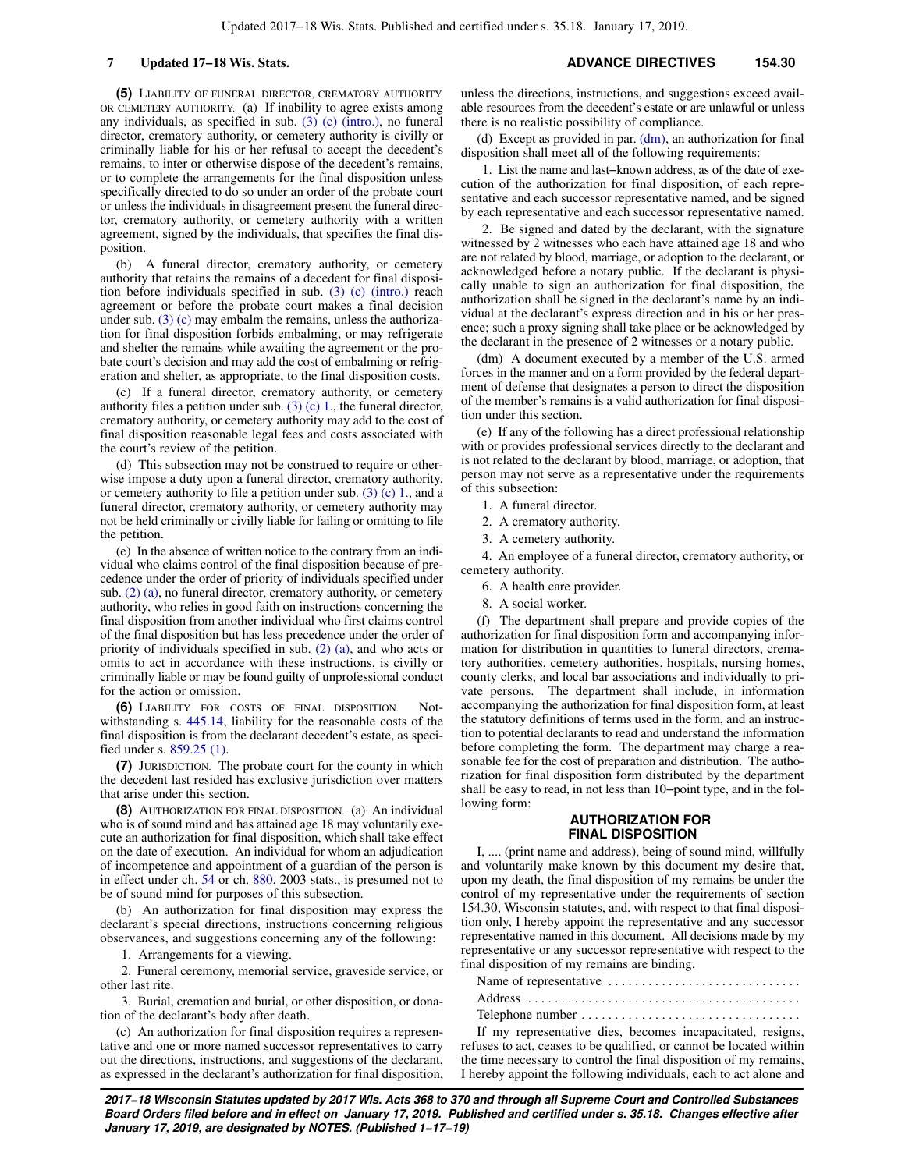**7 Updated 17−18 Wis. Stats. ADVANCE DIRECTIVES 154.30**

**(5)** LIABILITY OF FUNERAL DIRECTOR, CREMATORY AUTHORITY, OR CEMETERY AUTHORITY. (a) If inability to agree exists among any individuals, as specified in sub. [\(3\) \(c\) \(intro.\),](https://docs.legis.wisconsin.gov/document/statutes/154.30(3)(c)(intro.)) no funeral director, crematory authority, or cemetery authority is civilly or criminally liable for his or her refusal to accept the decedent's remains, to inter or otherwise dispose of the decedent's remains, or to complete the arrangements for the final disposition unless specifically directed to do so under an order of the probate court or unless the individuals in disagreement present the funeral director, crematory authority, or cemetery authority with a written agreement, signed by the individuals, that specifies the final disposition.

(b) A funeral director, crematory authority, or cemetery authority that retains the remains of a decedent for final disposition before individuals specified in sub. [\(3\) \(c\) \(intro.\)](https://docs.legis.wisconsin.gov/document/statutes/154.30(3)(c)(intro.)) reach agreement or before the probate court makes a final decision under sub. [\(3\) \(c\)](https://docs.legis.wisconsin.gov/document/statutes/154.30(3)(c)) may embalm the remains, unless the authorization for final disposition forbids embalming, or may refrigerate and shelter the remains while awaiting the agreement or the probate court's decision and may add the cost of embalming or refrigeration and shelter, as appropriate, to the final disposition costs.

(c) If a funeral director, crematory authority, or cemetery authority files a petition under sub. [\(3\) \(c\) 1.](https://docs.legis.wisconsin.gov/document/statutes/154.30(3)(c)1.), the funeral director, crematory authority, or cemetery authority may add to the cost of final disposition reasonable legal fees and costs associated with the court's review of the petition.

(d) This subsection may not be construed to require or otherwise impose a duty upon a funeral director, crematory authority, or cemetery authority to file a petition under sub.  $(3)$  (c) 1., and a funeral director, crematory authority, or cemetery authority may not be held criminally or civilly liable for failing or omitting to file the petition.

(e) In the absence of written notice to the contrary from an individual who claims control of the final disposition because of precedence under the order of priority of individuals specified under sub.  $(2)$  (a), no funeral director, crematory authority, or cemetery authority, who relies in good faith on instructions concerning the final disposition from another individual who first claims control of the final disposition but has less precedence under the order of priority of individuals specified in sub. [\(2\) \(a\),](https://docs.legis.wisconsin.gov/document/statutes/154.30(2)(a)) and who acts or omits to act in accordance with these instructions, is civilly or criminally liable or may be found guilty of unprofessional conduct for the action or omission.

**(6)** LIABILITY FOR COSTS OF FINAL DISPOSITION. Notwithstanding s. [445.14](https://docs.legis.wisconsin.gov/document/statutes/445.14), liability for the reasonable costs of the final disposition is from the declarant decedent's estate, as specified under s. [859.25 \(1\).](https://docs.legis.wisconsin.gov/document/statutes/859.25(1))

**(7)** JURISDICTION. The probate court for the county in which the decedent last resided has exclusive jurisdiction over matters that arise under this section.

**(8)** AUTHORIZATION FOR FINAL DISPOSITION. (a) An individual who is of sound mind and has attained age 18 may voluntarily execute an authorization for final disposition, which shall take effect on the date of execution. An individual for whom an adjudication of incompetence and appointment of a guardian of the person is in effect under ch. [54](https://docs.legis.wisconsin.gov/document/statutes/ch.%2054) or ch. [880,](https://docs.legis.wisconsin.gov/document/statutes/2003/ch.%20880) 2003 stats., is presumed not to be of sound mind for purposes of this subsection.

(b) An authorization for final disposition may express the declarant's special directions, instructions concerning religious observances, and suggestions concerning any of the following:

1. Arrangements for a viewing.

2. Funeral ceremony, memorial service, graveside service, or other last rite.

3. Burial, cremation and burial, or other disposition, or donation of the declarant's body after death.

(c) An authorization for final disposition requires a representative and one or more named successor representatives to carry out the directions, instructions, and suggestions of the declarant, as expressed in the declarant's authorization for final disposition, unless the directions, instructions, and suggestions exceed available resources from the decedent's estate or are unlawful or unless there is no realistic possibility of compliance.

(d) Except as provided in par.  $(dm)$ , an authorization for final disposition shall meet all of the following requirements:

1. List the name and last−known address, as of the date of execution of the authorization for final disposition, of each representative and each successor representative named, and be signed by each representative and each successor representative named.

2. Be signed and dated by the declarant, with the signature witnessed by 2 witnesses who each have attained age 18 and who are not related by blood, marriage, or adoption to the declarant, or acknowledged before a notary public. If the declarant is physically unable to sign an authorization for final disposition, the authorization shall be signed in the declarant's name by an individual at the declarant's express direction and in his or her presence; such a proxy signing shall take place or be acknowledged by the declarant in the presence of 2 witnesses or a notary public.

(dm) A document executed by a member of the U.S. armed forces in the manner and on a form provided by the federal department of defense that designates a person to direct the disposition of the member's remains is a valid authorization for final disposition under this section.

(e) If any of the following has a direct professional relationship with or provides professional services directly to the declarant and is not related to the declarant by blood, marriage, or adoption, that person may not serve as a representative under the requirements of this subsection:

- 1. A funeral director.
- 2. A crematory authority.
- 3. A cemetery authority.

4. An employee of a funeral director, crematory authority, or cemetery authority.

- 6. A health care provider.
- 8. A social worker.

(f) The department shall prepare and provide copies of the authorization for final disposition form and accompanying information for distribution in quantities to funeral directors, crematory authorities, cemetery authorities, hospitals, nursing homes, county clerks, and local bar associations and individually to private persons. The department shall include, in information accompanying the authorization for final disposition form, at least the statutory definitions of terms used in the form, and an instruction to potential declarants to read and understand the information before completing the form. The department may charge a reasonable fee for the cost of preparation and distribution. The authorization for final disposition form distributed by the department shall be easy to read, in not less than 10−point type, and in the following form:

# **AUTHORIZATION FOR FINAL DISPOSITION**

I, .... (print name and address), being of sound mind, willfully and voluntarily make known by this document my desire that, upon my death, the final disposition of my remains be under the control of my representative under the requirements of section 154.30, Wisconsin statutes, and, with respect to that final disposition only, I hereby appoint the representative and any successor representative named in this document. All decisions made by my representative or any successor representative with respect to the final disposition of my remains are binding.

Name of representative . . . . . . . . . . . . . . . . . . . . . . . . . . . . . Address . . . . . . . . . . . . . . . . . . . . . . . . . . . . . . . . . . . . . . . . . Telephone number . . . . . . . . . . . . . . . . . . . . . . . . . . . . . . . . .

If my representative dies, becomes incapacitated, resigns, refuses to act, ceases to be qualified, or cannot be located within the time necessary to control the final disposition of my remains, I hereby appoint the following individuals, each to act alone and